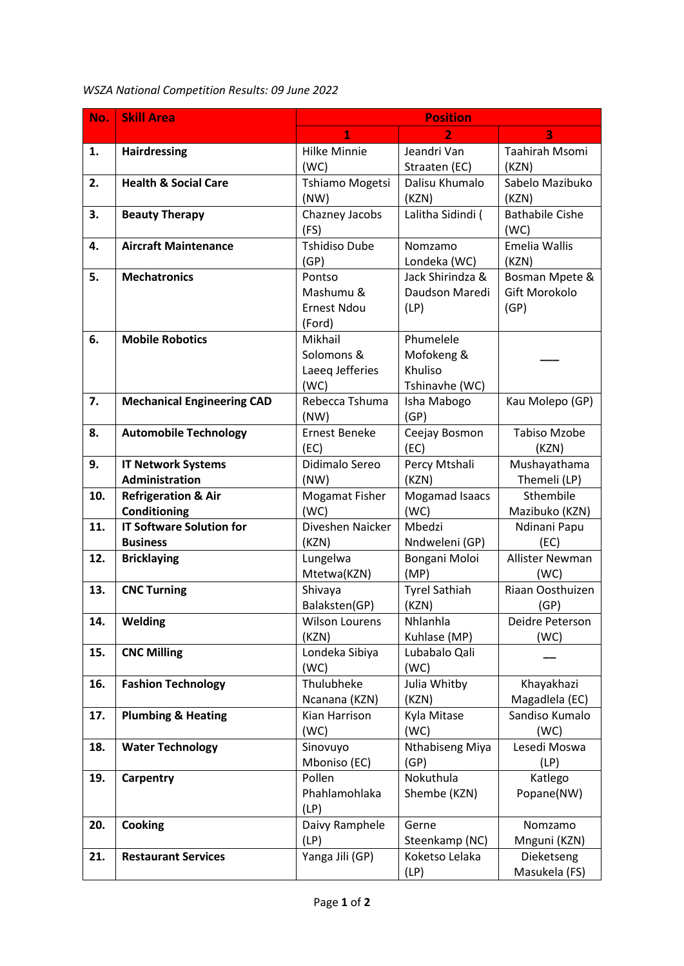## *WSZA National Competition Results: 09 June 2022*

| No. | <b>Skill Area</b>                              | <b>Position</b>               |                        |                           |  |
|-----|------------------------------------------------|-------------------------------|------------------------|---------------------------|--|
|     |                                                | $\overline{1}$                | $\overline{2}$         | 3                         |  |
| 1.  | <b>Hairdressing</b>                            | <b>Hilke Minnie</b>           | Jeandri Van            | Taahirah Msomi            |  |
|     |                                                | (WC)                          | Straaten (EC)          | (KZN)                     |  |
| 2.  | <b>Health &amp; Social Care</b>                | Tshiamo Mogetsi               | Dalisu Khumalo         | Sabelo Mazibuko           |  |
|     |                                                | (NW)                          | (KZN)                  | (KZN)                     |  |
| 3.  | <b>Beauty Therapy</b>                          | Chazney Jacobs                | Lalitha Sidindi (      | <b>Bathabile Cishe</b>    |  |
|     |                                                | (FS)                          |                        | (WC)                      |  |
| 4.  | <b>Aircraft Maintenance</b>                    | <b>Tshidiso Dube</b>          | Nomzamo                | Emelia Wallis             |  |
|     |                                                | (GP)                          | Londeka (WC)           | (KZN)                     |  |
| 5.  | <b>Mechatronics</b>                            | Pontso                        | Jack Shirindza &       | Bosman Mpete &            |  |
|     |                                                | Mashumu &                     | Daudson Maredi         | Gift Morokolo             |  |
|     |                                                | <b>Ernest Ndou</b>            | (LP)                   | (GP)                      |  |
|     |                                                | (Ford)                        |                        |                           |  |
| 6.  | <b>Mobile Robotics</b>                         | Mikhail                       | Phumelele              |                           |  |
|     |                                                | Solomons &                    | Mofokeng &             |                           |  |
|     |                                                | Laeeq Jefferies               | Khuliso                |                           |  |
|     |                                                | (WC)                          | Tshinavhe (WC)         |                           |  |
| 7.  | <b>Mechanical Engineering CAD</b>              | Rebecca Tshuma                | Isha Mabogo            | Kau Molepo (GP)           |  |
|     |                                                | (NW)                          | (GP)                   |                           |  |
| 8.  | <b>Automobile Technology</b>                   | <b>Ernest Beneke</b>          | Ceejay Bosmon          | <b>Tabiso Mzobe</b>       |  |
|     |                                                | (EC)                          | (EC)                   | (KZN)                     |  |
| 9.  | <b>IT Network Systems</b><br>Administration    | Didimalo Sereo                | Percy Mtshali          | Mushayathama              |  |
|     |                                                | (NW)                          | (KZN)                  | Themeli (LP)<br>Sthembile |  |
| 10. | <b>Refrigeration &amp; Air</b><br>Conditioning | <b>Mogamat Fisher</b><br>(WC) | Mogamad Isaacs<br>(WC) | Mazibuko (KZN)            |  |
| 11. | <b>IT Software Solution for</b>                | Diveshen Naicker              | Mbedzi                 | Ndinani Papu              |  |
|     | <b>Business</b>                                | (KZN)                         | Nndweleni (GP)         | (EC)                      |  |
| 12. | <b>Bricklaying</b>                             | Lungelwa                      | Bongani Moloi          | Allister Newman           |  |
|     |                                                | Mtetwa(KZN)                   | (MP)                   | (WC)                      |  |
| 13. | <b>CNC Turning</b>                             | Shivaya                       | <b>Tyrel Sathiah</b>   | Riaan Oosthuizen          |  |
|     |                                                | Balaksten(GP)                 | (KZN)                  | (GP)                      |  |
| 14. | Welding                                        | Wilson Lourens                | Nhlanhla               | Deidre Peterson           |  |
|     |                                                | (KZN)                         | Kuhlase (MP)           | (WC)                      |  |
| 15. | <b>CNC Milling</b>                             | Londeka Sibiya                | Lubabalo Qali          |                           |  |
|     |                                                | (WC)                          | (WC)                   |                           |  |
| 16. | <b>Fashion Technology</b>                      | Thulubheke                    | Julia Whitby           | Khayakhazi                |  |
|     |                                                | Ncanana (KZN)                 | (KZN)                  | Magadlela (EC)            |  |
| 17. | <b>Plumbing &amp; Heating</b>                  | Kian Harrison                 | Kyla Mitase            | Sandiso Kumalo            |  |
|     |                                                | (WC)                          | (WC)                   | (WC)                      |  |
| 18. | <b>Water Technology</b>                        | Sinovuyo                      | Nthabiseng Miya        | Lesedi Moswa              |  |
|     |                                                | Mboniso (EC)                  | (GP)                   | (LP)                      |  |
| 19. | Carpentry                                      | Pollen                        | Nokuthula              | Katlego                   |  |
|     |                                                | Phahlamohlaka                 | Shembe (KZN)           | Popane(NW)                |  |
|     |                                                | (LP)                          |                        |                           |  |
| 20. | Cooking                                        | Daivy Ramphele                | Gerne                  | Nomzamo                   |  |
|     |                                                | (LP)                          | Steenkamp (NC)         | Mnguni (KZN)              |  |
| 21. | <b>Restaurant Services</b>                     | Yanga Jili (GP)               | Koketso Lelaka         | Dieketseng                |  |
|     |                                                |                               | (LP)                   | Masukela (FS)             |  |